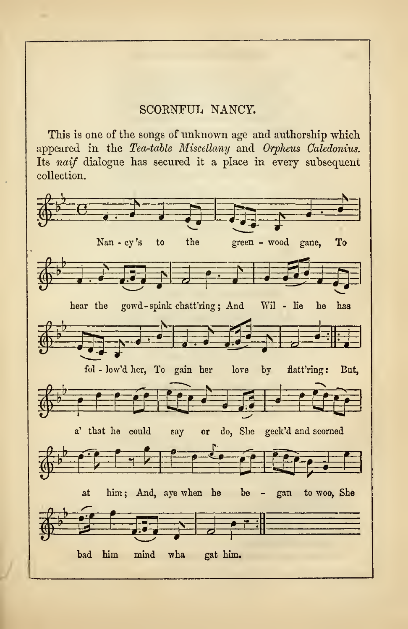## SCOKNFUL NANCY.

This is one of the songs of unknown age and authorship which appeared in the Tea-table Miscellany and Orpheus Caledonius. Its naif dialogue has secured it a place in every subsequent collection.

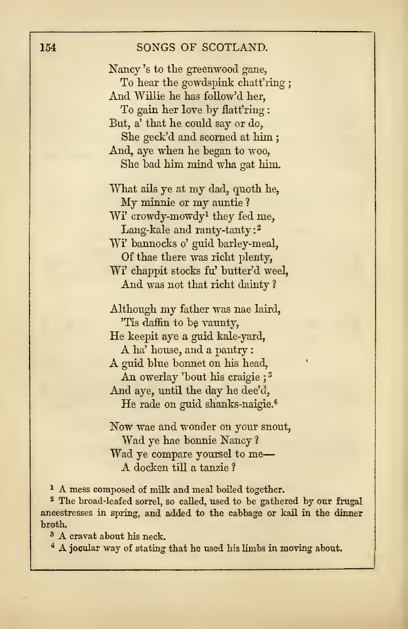## 154 SONGS OF SCOTLAND.

Nancy 's to the greenwood gane, To hear the gowdspihk chatt'ring ; And Willie he has follow'd her, To gain her love by flatt'ring : But, a' that he could say or do, She geck'd and scorned at him ; And, aye when he began to woo, She bad him mind wha gat him.

What ails ye at my dad, quoth he, My minnie or my auntie <sup>1</sup> Wi' crowdy-mowdy<sup>1</sup> they fed me, Lang-kale and ranty-tanty:<sup>2</sup> Wi' bannocks o'guid barley-meal, Of thae there was richt plenty, Wi' chappit stocks fu' butter'd weeh And was not that richt dainty ?

Although my father was nae laird, 'Tis daffin to be vaunty, He keepit aye <sup>a</sup> guid kale-yard, <sup>A</sup> ha' house, and <sup>a</sup> pantry A guid blue bonnet on his head, An owerlay 'bout his craigie ; <sup>3</sup> And aye, until the day he dee'd, He rade on guid shanks-naigie.<sup>4</sup>

Now wae and wonder on your snout, Wad ye hae bonnie Nancy ? Wad ye compare yoursel to me A docken till <sup>a</sup> tanzie ?

<sup>1</sup> A mess composed of milk and meal boiled together.

<sup>2</sup> The broad-leafed sorrel, so called, used to be gathered by our frugal ancestresses in spring, and added to the cabbage or kail in the dinner broth.

<sup>3</sup> A cravat about his neck.

<sup>4</sup> A jocular way of stating that he used his limbs in moving about.